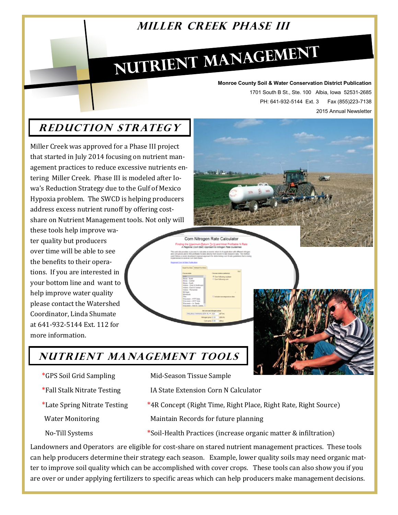## **MILLER CREEK PHASE III**

# NUTRIENT MANAGEMENT

#### **Monroe County Soil & Water Conservation District Publication**

1701 South B St., Ste. 100 Albia, Iowa 52531-2685 PH: 641-932-5144 Ext. 3 Fax (855)223-7138 2015 Annual Newsletter

## **R educt ion Strat egy**

Miller Creek was approved for a Phase III project that started in July 2014 focusing on nutrient management practices to reduce excessive nutrients entering Miller Creek. Phase III is modeled after Iowa's Reduction Strategy due to the Gulf of Mexico Hypoxia problem. The SWCD is helping producers address excess nutrient runoff by offering costshare on Nutrient Management tools. Not only will

these tools help improve water quality but producers over time will be able to see the benefits to their operations. If you are interested in your bottom line and want to help improve water quality please contact the Watershed Coordinator, Linda Shumate at 641-932-5144 Ext. 112 for more information.

**Nutr ient Managem ent Tool s**

- 
- 
- 
- 
- 
- \*GPS Soil Grid Sampling Mid-Season Tissue Sample
- \*Fall Stalk Nitrate Testing IA State Extension Corn N Calculator

Corn Nitrogen Rate Calculato

- \*Late Spring Nitrate Testing \*4R Concept (Right Time, Right Place, Right Rate, Right Source)
- Water Monitoring Maintain Records for future planning
- No-Till Systems \*Soil-Health Practices (increase organic matter & infiltration)

Landowners and Operators are eligible for cost-share on stared nutrient management practices. These tools can help producers determine their strategy each season. Example, lower quality soils may need organic matter to improve soil quality which can be accomplished with cover crops. These tools can also show you if you are over or under applying fertilizers to specific areas which can help producers make management decisions.